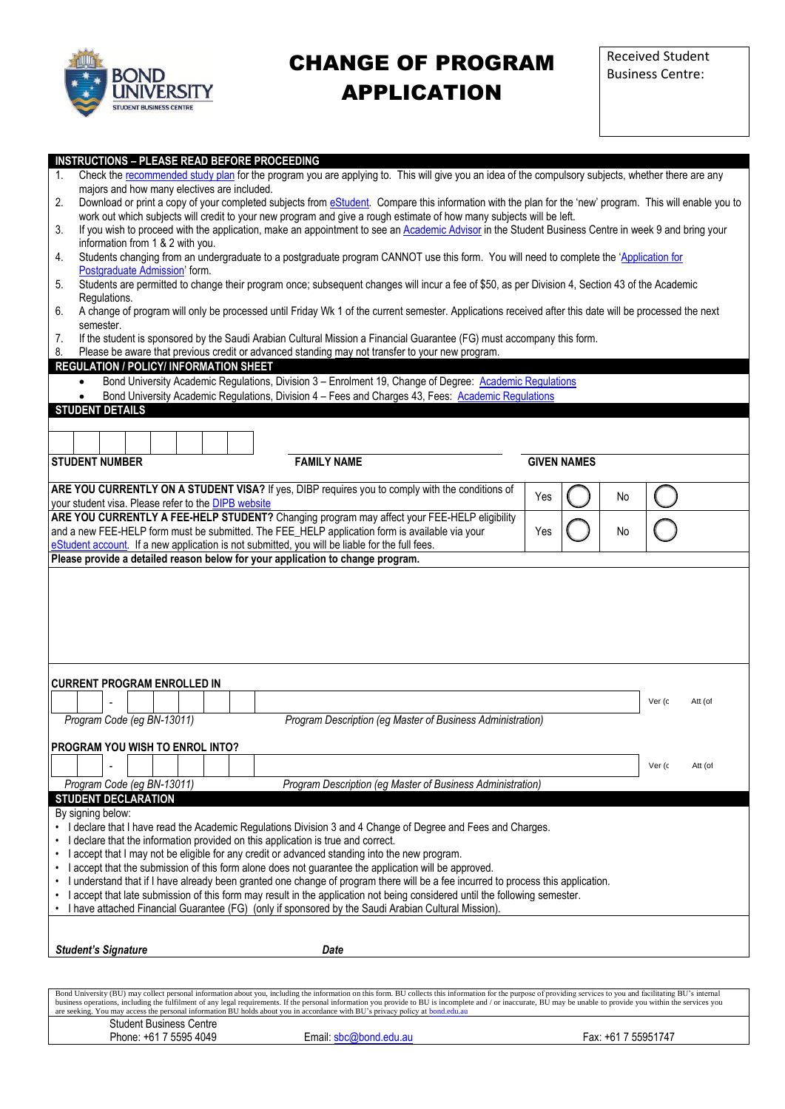

## CHANGE OF PROGRAM APPLICATION

| <b>INSTRUCTIONS - PLEASE READ BEFORE PROCEEDING</b><br>Check the recommended study plan for the program you are applying to. This will give you an idea of the compulsory subjects, whether there are any<br>1.                                                                        |                                                                                                                                                                                                                           |                                                                                                         |  |  |  |  |  |  |                    |  |  |  |                                                            |     |                    |    |        |         |
|----------------------------------------------------------------------------------------------------------------------------------------------------------------------------------------------------------------------------------------------------------------------------------------|---------------------------------------------------------------------------------------------------------------------------------------------------------------------------------------------------------------------------|---------------------------------------------------------------------------------------------------------|--|--|--|--|--|--|--------------------|--|--|--|------------------------------------------------------------|-----|--------------------|----|--------|---------|
|                                                                                                                                                                                                                                                                                        | majors and how many electives are included.                                                                                                                                                                               |                                                                                                         |  |  |  |  |  |  |                    |  |  |  |                                                            |     |                    |    |        |         |
| Download or print a copy of your completed subjects from eStudent. Compare this information with the plan for the 'new' program. This will enable you to<br>2.<br>work out which subjects will credit to your new program and give a rough estimate of how many subjects will be left. |                                                                                                                                                                                                                           |                                                                                                         |  |  |  |  |  |  |                    |  |  |  |                                                            |     |                    |    |        |         |
| If you wish to proceed with the application, make an appointment to see an Academic Advisor in the Student Business Centre in week 9 and bring your<br>3.                                                                                                                              |                                                                                                                                                                                                                           |                                                                                                         |  |  |  |  |  |  |                    |  |  |  |                                                            |     |                    |    |        |         |
| 4.                                                                                                                                                                                                                                                                                     | information from 1 & 2 with you.<br>Students changing from an undergraduate to a postgraduate program CANNOT use this form. You will need to complete the 'Application for                                                |                                                                                                         |  |  |  |  |  |  |                    |  |  |  |                                                            |     |                    |    |        |         |
| 5.                                                                                                                                                                                                                                                                                     | Postgraduate Admission' form.<br>Students are permitted to change their program once; subsequent changes will incur a fee of \$50, as per Division 4, Section 43 of the Academic                                          |                                                                                                         |  |  |  |  |  |  |                    |  |  |  |                                                            |     |                    |    |        |         |
| Regulations.<br>A change of program will only be processed until Friday Wk 1 of the current semester. Applications received after this date will be processed the next<br>6.                                                                                                           |                                                                                                                                                                                                                           |                                                                                                         |  |  |  |  |  |  |                    |  |  |  |                                                            |     |                    |    |        |         |
|                                                                                                                                                                                                                                                                                        | semester.                                                                                                                                                                                                                 |                                                                                                         |  |  |  |  |  |  |                    |  |  |  |                                                            |     |                    |    |        |         |
| 7.<br>8.                                                                                                                                                                                                                                                                               | If the student is sponsored by the Saudi Arabian Cultural Mission a Financial Guarantee (FG) must accompany this form.<br>Please be aware that previous credit or advanced standing may not transfer to your new program. |                                                                                                         |  |  |  |  |  |  |                    |  |  |  |                                                            |     |                    |    |        |         |
|                                                                                                                                                                                                                                                                                        | REGULATION / POLICY/ INFORMATION SHEET                                                                                                                                                                                    |                                                                                                         |  |  |  |  |  |  |                    |  |  |  |                                                            |     |                    |    |        |         |
|                                                                                                                                                                                                                                                                                        |                                                                                                                                                                                                                           | Bond University Academic Regulations, Division 3 - Enrolment 19, Change of Degree: Academic Regulations |  |  |  |  |  |  |                    |  |  |  |                                                            |     |                    |    |        |         |
|                                                                                                                                                                                                                                                                                        |                                                                                                                                                                                                                           | Bond University Academic Regulations, Division 4 - Fees and Charges 43, Fees: Academic Regulations      |  |  |  |  |  |  |                    |  |  |  |                                                            |     |                    |    |        |         |
|                                                                                                                                                                                                                                                                                        | <b>STUDENT DETAILS</b>                                                                                                                                                                                                    |                                                                                                         |  |  |  |  |  |  |                    |  |  |  |                                                            |     |                    |    |        |         |
|                                                                                                                                                                                                                                                                                        |                                                                                                                                                                                                                           |                                                                                                         |  |  |  |  |  |  |                    |  |  |  |                                                            |     |                    |    |        |         |
|                                                                                                                                                                                                                                                                                        | <b>STUDENT NUMBER</b>                                                                                                                                                                                                     |                                                                                                         |  |  |  |  |  |  | <b>FAMILY NAME</b> |  |  |  |                                                            |     | <b>GIVEN NAMES</b> |    |        |         |
|                                                                                                                                                                                                                                                                                        |                                                                                                                                                                                                                           |                                                                                                         |  |  |  |  |  |  |                    |  |  |  |                                                            |     |                    |    |        |         |
|                                                                                                                                                                                                                                                                                        | ARE YOU CURRENTLY ON A STUDENT VISA? If yes, DIBP requires you to comply with the conditions of<br>your student visa. Please refer to the <b>DIPB</b> website                                                             |                                                                                                         |  |  |  |  |  |  |                    |  |  |  |                                                            | Yes |                    | No |        |         |
|                                                                                                                                                                                                                                                                                        |                                                                                                                                                                                                                           |                                                                                                         |  |  |  |  |  |  |                    |  |  |  |                                                            |     |                    |    |        |         |
| ARE YOU CURRENTLY A FEE-HELP STUDENT? Changing program may affect your FEE-HELP eligibility<br>and a new FEE-HELP form must be submitted. The FEE_HELP application form is available via your<br>No<br>Yes                                                                             |                                                                                                                                                                                                                           |                                                                                                         |  |  |  |  |  |  |                    |  |  |  |                                                            |     |                    |    |        |         |
| eStudent account. If a new application is not submitted, you will be liable for the full fees.<br>Please provide a detailed reason below for your application to change program.                                                                                                       |                                                                                                                                                                                                                           |                                                                                                         |  |  |  |  |  |  |                    |  |  |  |                                                            |     |                    |    |        |         |
|                                                                                                                                                                                                                                                                                        |                                                                                                                                                                                                                           |                                                                                                         |  |  |  |  |  |  |                    |  |  |  |                                                            |     |                    |    |        |         |
|                                                                                                                                                                                                                                                                                        |                                                                                                                                                                                                                           |                                                                                                         |  |  |  |  |  |  |                    |  |  |  |                                                            |     |                    |    |        |         |
|                                                                                                                                                                                                                                                                                        |                                                                                                                                                                                                                           |                                                                                                         |  |  |  |  |  |  |                    |  |  |  |                                                            |     |                    |    |        |         |
|                                                                                                                                                                                                                                                                                        |                                                                                                                                                                                                                           |                                                                                                         |  |  |  |  |  |  |                    |  |  |  |                                                            |     |                    |    |        |         |
|                                                                                                                                                                                                                                                                                        |                                                                                                                                                                                                                           |                                                                                                         |  |  |  |  |  |  |                    |  |  |  |                                                            |     |                    |    |        |         |
|                                                                                                                                                                                                                                                                                        |                                                                                                                                                                                                                           |                                                                                                         |  |  |  |  |  |  |                    |  |  |  |                                                            |     |                    |    |        |         |
|                                                                                                                                                                                                                                                                                        | <b>CURRENT PROGRAM ENROLLED IN</b>                                                                                                                                                                                        |                                                                                                         |  |  |  |  |  |  |                    |  |  |  |                                                            |     |                    |    |        |         |
|                                                                                                                                                                                                                                                                                        |                                                                                                                                                                                                                           |                                                                                                         |  |  |  |  |  |  |                    |  |  |  |                                                            |     |                    |    | Ver (c | Att (of |
|                                                                                                                                                                                                                                                                                        | Program Code (eg BN-13011)                                                                                                                                                                                                |                                                                                                         |  |  |  |  |  |  |                    |  |  |  | Program Description (eg Master of Business Administration) |     |                    |    |        |         |
|                                                                                                                                                                                                                                                                                        | PROGRAM YOU WISH TO ENROL INTO?                                                                                                                                                                                           |                                                                                                         |  |  |  |  |  |  |                    |  |  |  |                                                            |     |                    |    |        |         |
|                                                                                                                                                                                                                                                                                        |                                                                                                                                                                                                                           |                                                                                                         |  |  |  |  |  |  |                    |  |  |  |                                                            |     |                    |    | Ver (c | Att (of |
|                                                                                                                                                                                                                                                                                        | Program Code (eg BN-13011)                                                                                                                                                                                                |                                                                                                         |  |  |  |  |  |  |                    |  |  |  | Program Description (eg Master of Business Administration) |     |                    |    |        |         |
|                                                                                                                                                                                                                                                                                        | <b>STUDENT DECLARATION</b>                                                                                                                                                                                                |                                                                                                         |  |  |  |  |  |  |                    |  |  |  |                                                            |     |                    |    |        |         |
|                                                                                                                                                                                                                                                                                        | By signing below:                                                                                                                                                                                                         |                                                                                                         |  |  |  |  |  |  |                    |  |  |  |                                                            |     |                    |    |        |         |
|                                                                                                                                                                                                                                                                                        | • I declare that I have read the Academic Regulations Division 3 and 4 Change of Degree and Fees and Charges.                                                                                                             |                                                                                                         |  |  |  |  |  |  |                    |  |  |  |                                                            |     |                    |    |        |         |
| I declare that the information provided on this application is true and correct.<br>I accept that I may not be eligible for any credit or advanced standing into the new program.<br>$\bullet$                                                                                         |                                                                                                                                                                                                                           |                                                                                                         |  |  |  |  |  |  |                    |  |  |  |                                                            |     |                    |    |        |         |
| I accept that the submission of this form alone does not guarantee the application will be approved.                                                                                                                                                                                   |                                                                                                                                                                                                                           |                                                                                                         |  |  |  |  |  |  |                    |  |  |  |                                                            |     |                    |    |        |         |
| • I understand that if I have already been granted one change of program there will be a fee incurred to process this application.<br>I accept that late submission of this form may result in the application not being considered until the following semester.                      |                                                                                                                                                                                                                           |                                                                                                         |  |  |  |  |  |  |                    |  |  |  |                                                            |     |                    |    |        |         |
|                                                                                                                                                                                                                                                                                        | • I have attached Financial Guarantee (FG) (only if sponsored by the Saudi Arabian Cultural Mission)                                                                                                                      |                                                                                                         |  |  |  |  |  |  |                    |  |  |  |                                                            |     |                    |    |        |         |
|                                                                                                                                                                                                                                                                                        |                                                                                                                                                                                                                           |                                                                                                         |  |  |  |  |  |  |                    |  |  |  |                                                            |     |                    |    |        |         |
|                                                                                                                                                                                                                                                                                        | <b>Student's Signature</b>                                                                                                                                                                                                |                                                                                                         |  |  |  |  |  |  | Date               |  |  |  |                                                            |     |                    |    |        |         |
|                                                                                                                                                                                                                                                                                        |                                                                                                                                                                                                                           |                                                                                                         |  |  |  |  |  |  |                    |  |  |  |                                                            |     |                    |    |        |         |
|                                                                                                                                                                                                                                                                                        |                                                                                                                                                                                                                           |                                                                                                         |  |  |  |  |  |  |                    |  |  |  |                                                            |     |                    |    |        |         |
|                                                                                                                                                                                                                                                                                        | Bond University (BU) may collect personal information about you, including the information on this form. BU collects this information for the purpose of providing services to you and facilitating BU's internal         |                                                                                                         |  |  |  |  |  |  |                    |  |  |  |                                                            |     |                    |    |        |         |

Bond University (BU) may collect personal information about you, including the information on this form. BU collects this information for the purpose of providing services to you and facilitating BU's internal<br>business ope Student Business Centre<br>Phone: +61 7 5595 4049 Email: [sbc@bond.edu.au](mailto:sbc@bond.edu.au) Fax: +61 7 55951747